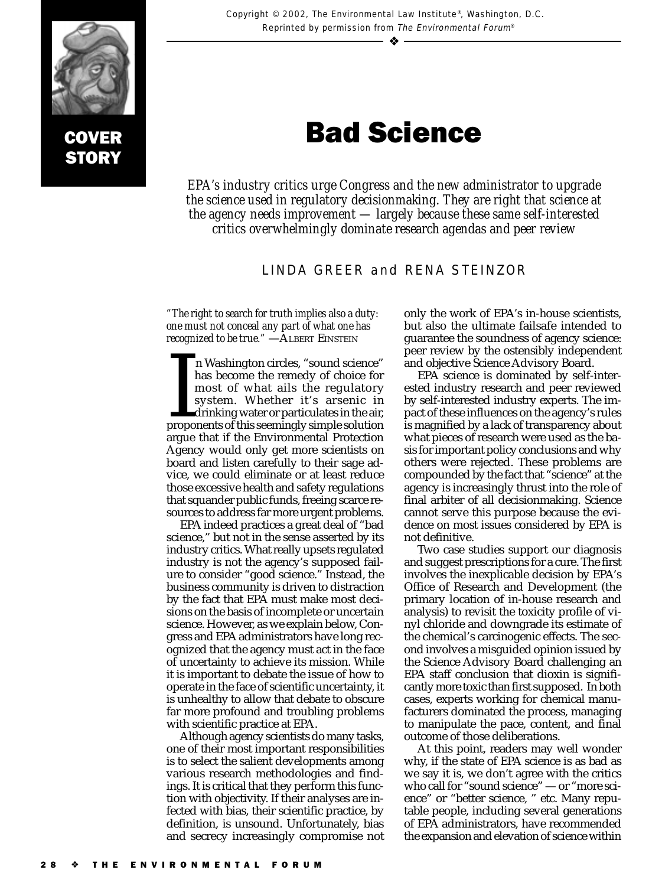

# Bad Science

*EPA's industry critics urge Congress and the new administrator to upgrade the science used in regulatory decisionmaking. They are right that science at the agency needs improvement — largely because these same self-interested critics overwhelmingly dominate research agendas and peer review*

## LINDA GREER and RENA STEINZOR

*"The right to search for truth implies also a duty: one must not conceal any part of what one has recognized to be true.*" —ALBERT EINSTEIN

I In Washington circles, "sound science"<br>has become the remedy of choice for<br>most of what ails the regulatory<br>system. Whether it's arsenic in<br>drinking water or particulates in the air,<br>proponents of this seemingly simple s n Washington circles, "sound science" has become the remedy of choice for most of what ails the regulatory system. Whether it's arsenic in drinking water or particulates in the air, argue that if the Environmental Protection Agency would only get more scientists on board and listen carefully to their sage advice, we could eliminate or at least reduce those excessive health and safety regulations that squander public funds, freeing scarce resources to address far more urgent problems.

EPA indeed practices a great deal of "bad science," but not in the sense asserted by its industry critics. What really upsets regulated industry is not the agency's supposed failure to consider "good science." Instead, the business community is driven to distraction by the fact that EPA must make most decisions on the basis of incomplete or uncertain science. However, as we explain below, Congress and EPA administrators have long recognized that the agency must act in the face of uncertainty to achieve its mission. While it is important to debate the issue of how to operate in the face of scientific uncertainty, it is unhealthy to allow that debate to obscure far more profound and troubling problems with scientific practice at EPA.

Although agency scientists do many tasks, one of their most important responsibilities is to select the salient developments among various research methodologies and findings. It is critical that they perform this function with objectivity. If their analyses are infected with bias, their scientific practice, by definition, is unsound. Unfortunately, bias and secrecy increasingly compromise not

only the work of EPA's in-house scientists, but also the ultimate failsafe intended to guarantee the soundness of agency science: peer review by the ostensibly independent and objective Science Advisory Board.

EPA science is dominated by self-interested industry research and peer reviewed by self-interested industry experts. The impact of these influences on the agency's rules is magnified by a lack of transparency about what pieces of research were used as the basis for important policy conclusions and why others were rejected. These problems are compounded by the fact that "science" at the agency is increasingly thrust into the role of final arbiter of all decisionmaking. Science cannot serve this purpose because the evidence on most issues considered by EPA is not definitive.

Two case studies support our diagnosis and suggest prescriptions for a cure. The first involves the inexplicable decision by EPA's Office of Research and Development (the primary location of in-house research and analysis) to revisit the toxicity profile of vinyl chloride and downgrade its estimate of the chemical's carcinogenic effects. The second involves a misguided opinion issued by the Science Advisory Board challenging an EPA staff conclusion that dioxin is significantly more toxic than first supposed. In both cases, experts working for chemical manufacturers dominated the process, managing to manipulate the pace, content, and final outcome of those deliberations.

At this point, readers may well wonder why, if the state of EPA science is as bad as we say it is, we don't agree with the critics who call for "sound science" — or "more science" or "better science, " etc. Many reputable people, including several generations of EPA administrators, have recommended the expansion and elevation of science within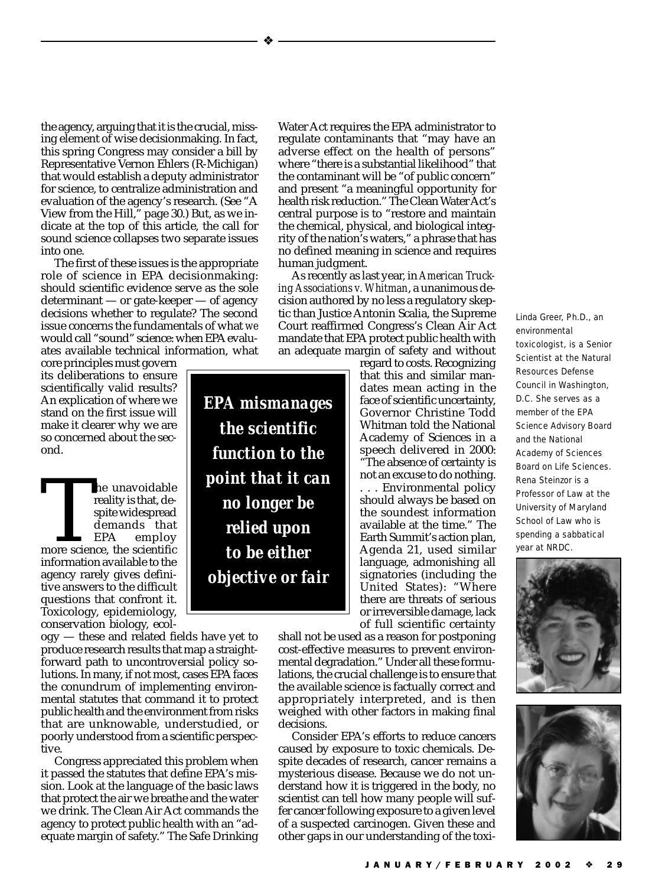the agency, arguing that it is the crucial, missing element of wise decisionmaking. In fact, this spring Congress may consider a bill by Representative Vernon Ehlers (R-Michigan) that would establish a deputy administrator for science, to centralize administration and evaluation of the agency's research. (See "A View from the Hill," page 30.) But, as we indicate at the top of this article, the call for sound science collapses two separate issues into one.

The first of these issues is the appropriate role of science in EPA decisionmaking: should scientific evidence serve as the sole determinant — or gate-keeper — of agency decisions whether to regulate? The second issue concerns the fundamentals of what *we* would call "sound" science: when EPA evaluates available technical information, what

core principles must govern its deliberations to ensure scientifically valid results? An explication of where we stand on the first issue will make it clearer why we are so concerned about the second.

The unavoidable<br>
reality is that, de-<br>
spite widespread<br>
demands that<br>
EPA employ<br>
more science, the scientific<br>
information available to the reality is that, despite widespread demands that EPA employ information available to the agency rarely gives definitive answers to the difficult questions that confront it. Toxicology, epidemiology, conservation biology, ecol-

ogy — these and related fields have yet to produce research results that map a straightforward path to uncontroversial policy solutions. In many, if not most, cases EPA faces the conundrum of implementing environmental statutes that command it to protect public health and the environment from risks that are unknowable, understudied, or poorly understood from a scientific perspective.

Congress appreciated this problem when it passed the statutes that define EPA's mission. Look at the language of the basic laws that protect the air we breathe and the water we drink. The Clean Air Act commands the agency to protect public health with an "adequate margin of safety." The Safe Drinking

*EPA mismanages the scientific function to the point that it can no longer be relied upon to be either objective or fair*

❖

Water Act requires the EPA administrator to regulate contaminants that "may have an adverse effect on the health of persons" where "there is a substantial likelihood" that the contaminant will be "of public concern" and present "a meaningful opportunity for health risk reduction." The Clean Water Act's central purpose is to "restore and maintain the chemical, physical, and biological integrity of the nation's waters," a phrase that has no defined meaning in science and requires human judgment.

As recently as last year, in *American Trucking Associations v. Whitman*, a unanimous decision authored by no less a regulatory skeptic than Justice Antonin Scalia, the Supreme Court reaffirmed Congress's Clean Air Act mandate that EPA protect public health with an adequate margin of safety and without

regard to costs. Recognizing that this and similar mandates mean acting in the face of scientific uncertainty, Governor Christine Todd Whitman told the National Academy of Sciences in a speech delivered in 2000: "The absence of certainty is not an excuse to do nothing. . . . Environmental policy should always be based on the soundest information available at the time." The Earth Summit's action plan, Agenda 21, used similar language, admonishing all signatories (including the United States): "Where there are threats of serious or irreversible damage, lack of full scientific certainty

shall not be used as a reason for postponing cost-effective measures to prevent environmental degradation." Under all these formulations, the crucial challenge is to ensure that the available science is factually correct and appropriately interpreted, and is then weighed with other factors in making final decisions.

Consider EPA's efforts to reduce cancers caused by exposure to toxic chemicals. Despite decades of research, cancer remains a mysterious disease. Because we do not understand how it is triggered in the body, no scientist can tell how many people will suffer cancer following exposure to a given level of a suspected carcinogen. Given these and other gaps in our understanding of the toxiLinda Greer, Ph.D., an environmental toxicologist, is a Senior Scientist at the Natural Resources Defense Council in Washington, D.C. She serves as a member of the EPA Science Advisory Board and the National Academy of Sciences Board on Life Sciences. Rena Steinzor is a Professor of Law at the University of Maryland School of Law who is spending a sabbatical year at NRDC.



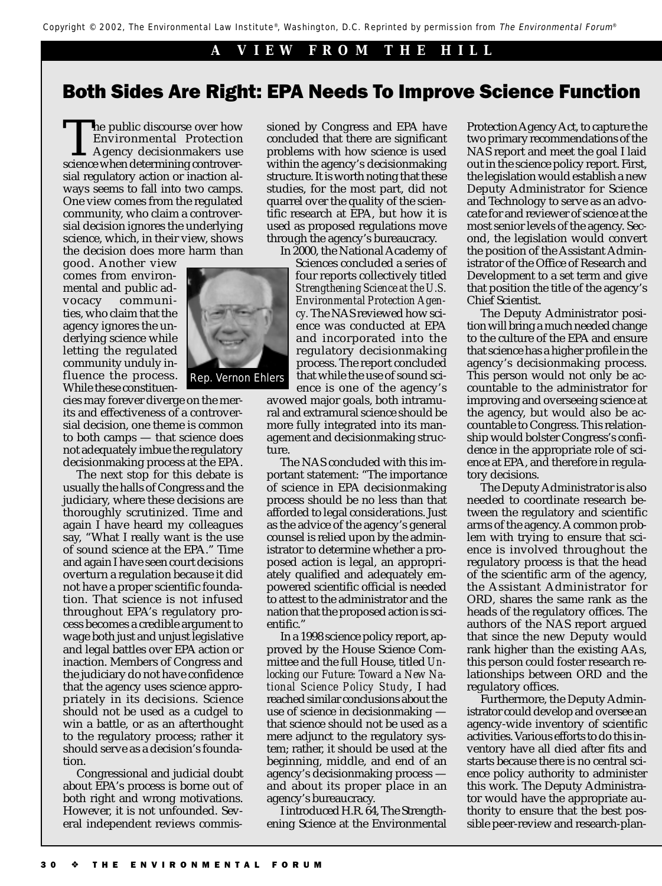#### ❖ **A VIEW FROM THE HILL**

# Both Sides Are Right: EPA Needs To Improve Science Function

The public discourse over how<br>Environmental Protection<br>Agency decisionmakers use<br>science when determining controver-Environmental Protection Agency decisionmakers use sial regulatory action or inaction always seems to fall into two camps. One view comes from the regulated community, who claim a controversial decision ignores the underlying science, which, in their view, shows the decision does more harm than

good. Another view comes from environmental and public advocacy communities, who claim that the agency ignores the underlying science while letting the regulated community unduly influence the process. While these constituen-



cies may forever diverge on the merits and effectiveness of a controversial decision, one theme is common to both camps — that science does not adequately imbue the regulatory decisionmaking process at the EPA.

The next stop for this debate is usually the halls of Congress and the judiciary, where these decisions are thoroughly scrutinized. Time and again I have heard my colleagues say, "What I really want is the use of sound science at the EPA." Time and again I have seen court decisions overturn a regulation because it did not have a proper scientific foundation. That science is not infused throughout EPA's regulatory process becomes a credible argument to wage both just and unjust legislative and legal battles over EPA action or inaction. Members of Congress and the judiciary do not have confidence that the agency uses science appropriately in its decisions. Science should not be used as a cudgel to win a battle, or as an afterthought to the regulatory process; rather it should serve as a decision's foundation.

Congressional and judicial doubt about EPA's process is borne out of both right and wrong motivations. However, it is not unfounded. Several independent reviews commis-

sioned by Congress and EPA have concluded that there are significant problems with how science is used within the agency's decisionmaking structure. It is worth noting that these studies, for the most part, did not quarrel over the quality of the scientific research at EPA, but how it is used as proposed regulations move through the agency's bureaucracy.

In 2000, the National Academy of Sciences concluded a series of four reports collectively titled *Strengthening Science at the U.S. Environmental Protection Agency.* The NAS reviewed how science was conducted at EPA and incorporated into the regulatory decisionmaking process. The report concluded that while the use of sound science is one of the agency's

avowed major goals, both intramural and extramural science should be more fully integrated into its management and decisionmaking structure.

The NAS concluded with this important statement: "The importance of science in EPA decisionmaking process should be no less than that afforded to legal considerations. Just as the advice of the agency's general counsel is relied upon by the administrator to determine whether a proposed action is legal, an appropriately qualified and adequately empowered scientific official is needed to attest to the administrator and the nation that the proposed action is scientific."

In a 1998 science policy report, approved by the House Science Committee and the full House, titled *Unlocking our Future: Toward a New National Science Policy Study*, I had reached similar conclusions about the use of science in decisionmaking that science should not be used as a mere adjunct to the regulatory system; rather, it should be used at the beginning, middle, and end of an agency's decisionmaking process and about its proper place in an agency's bureaucracy.

I introduced H.R. 64, The Strengthening Science at the Environmental Protection Agency Act, to capture the two primary recommendations of the NAS report and meet the goal I laid out in the science policy report. First, the legislation would establish a new Deputy Administrator for Science and Technology to serve as an advocate for and reviewer of science at the most senior levels of the agency. Second, the legislation would convert the position of the Assistant Administrator of the Office of Research and Development to a set term and give that position the title of the agency's Chief Scientist.

The Deputy Administrator position will bring a much needed change to the culture of the EPA and ensure that science has a higher profile in the agency's decisionmaking process. This person would not only be accountable to the administrator for improving and overseeing science at the agency, but would also be accountable to Congress. This relationship would bolster Congress's confidence in the appropriate role of science at EPA, and therefore in regulatory decisions.

The Deputy Administrator is also needed to coordinate research between the regulatory and scientific arms of the agency. A common problem with trying to ensure that science is involved throughout the regulatory process is that the head of the scientific arm of the agency, the Assistant Administrator for ORD, shares the same rank as the heads of the regulatory offices. The authors of the NAS report argued that since the new Deputy would rank higher than the existing AAs, this person could foster research relationships between ORD and the regulatory offices.

Furthermore, the Deputy Administrator could develop and oversee an agency-wide inventory of scientific activities. Various efforts to do this inventory have all died after fits and starts because there is no central science policy authority to administer this work. The Deputy Administrator would have the appropriate authority to ensure that the best possible peer-review and research-plan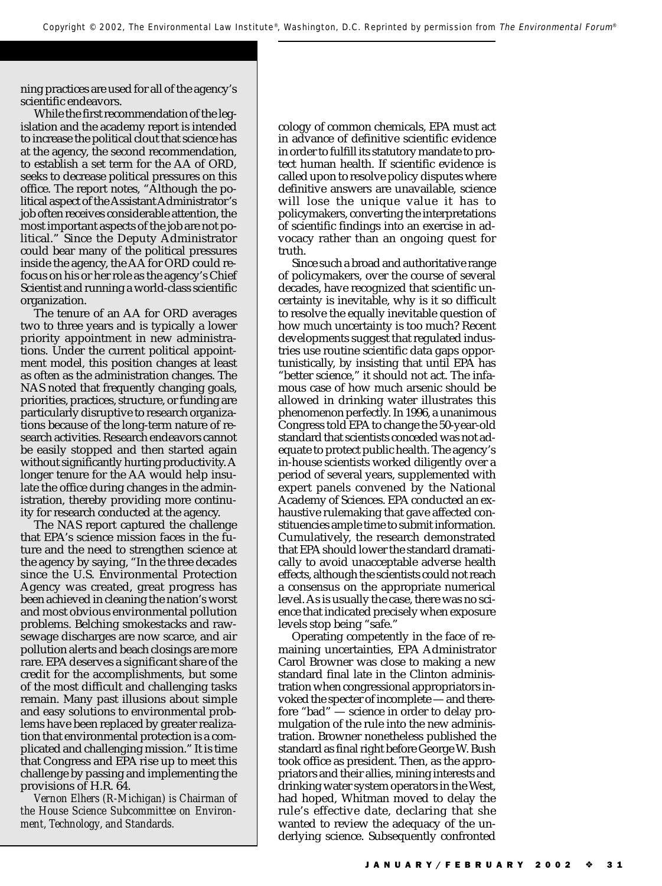ning practices are used for all of the agency's scientific endeavors.

While the first recommendation of the legislation and the academy report is intended to increase the political clout that science has at the agency, the second recommendation, to establish a set term for the AA of ORD, seeks to decrease political pressures on this office. The report notes, "Although the political aspect of the Assistant Administrator's job often receives considerable attention, the most important aspects of the job are not political." Since the Deputy Administrator could bear many of the political pressures inside the agency, the AA for ORD could refocus on his or her role as the agency's Chief Scientist and running a world-class scientific organization.

The tenure of an AA for ORD averages two to three years and is typically a lower priority appointment in new administrations. Under the current political appointment model, this position changes at least as often as the administration changes. The NAS noted that frequently changing goals, priorities, practices, structure, or funding are particularly disruptive to research organizations because of the long-term nature of research activities. Research endeavors cannot be easily stopped and then started again without significantly hurting productivity. A longer tenure for the AA would help insulate the office during changes in the administration, thereby providing more continuity for research conducted at the agency.

The NAS report captured the challenge that EPA's science mission faces in the future and the need to strengthen science at the agency by saying, "In the three decades since the U.S. Environmental Protection Agency was created, great progress has been achieved in cleaning the nation's worst and most obvious environmental pollution problems. Belching smokestacks and rawsewage discharges are now scarce, and air pollution alerts and beach closings are more rare. EPA deserves a significant share of the credit for the accomplishments, but some of the most difficult and challenging tasks remain. Many past illusions about simple and easy solutions to environmental problems have been replaced by greater realization that environmental protection is a complicated and challenging mission." It is time that Congress and EPA rise up to meet this challenge by passing and implementing the provisions of H.R. 64.

*Vernon Elhers (R-Michigan) is Chairman of the House Science Subcommittee on Environment, Technology, and Standards.*

cology of common chemicals, EPA must act in advance of definitive scientific evidence in order to fulfill its statutory mandate to protect human health. If scientific evidence is called upon to resolve policy disputes where definitive answers are unavailable, science will lose the unique value it has to policymakers, converting the interpretations of scientific findings into an exercise in advocacy rather than an ongoing quest for truth.

Since such a broad and authoritative range of policymakers, over the course of several decades, have recognized that scientific uncertainty is inevitable, why is it so difficult to resolve the equally inevitable question of how much uncertainty is too much? Recent developments suggest that regulated industries use routine scientific data gaps opportunistically, by insisting that until EPA has "better science," it should not act. The infamous case of how much arsenic should be allowed in drinking water illustrates this phenomenon perfectly. In 1996, a unanimous Congress told EPA to change the 50-year-old standard that scientists conceded was not adequate to protect public health. The agency's in-house scientists worked diligently over a period of several years, supplemented with expert panels convened by the National Academy of Sciences. EPA conducted an exhaustive rulemaking that gave affected constituencies ample time to submit information. Cumulatively, the research demonstrated that EPA should lower the standard dramatically to avoid unacceptable adverse health effects, although the scientists could not reach a consensus on the appropriate numerical level. As is usually the case, there was no science that indicated precisely when exposure levels stop being "safe."

Operating competently in the face of remaining uncertainties, EPA Administrator Carol Browner was close to making a new standard final late in the Clinton administration when congressional appropriators invoked the specter of incomplete — and therefore "bad" — science in order to delay promulgation of the rule into the new administration. Browner nonetheless published the standard as final right before George W. Bush took office as president. Then, as the appropriators and their allies, mining interests and drinking water system operators in the West, had hoped, Whitman moved to delay the rule's effective date, declaring that she wanted to review the adequacy of the underlying science. Subsequently confronted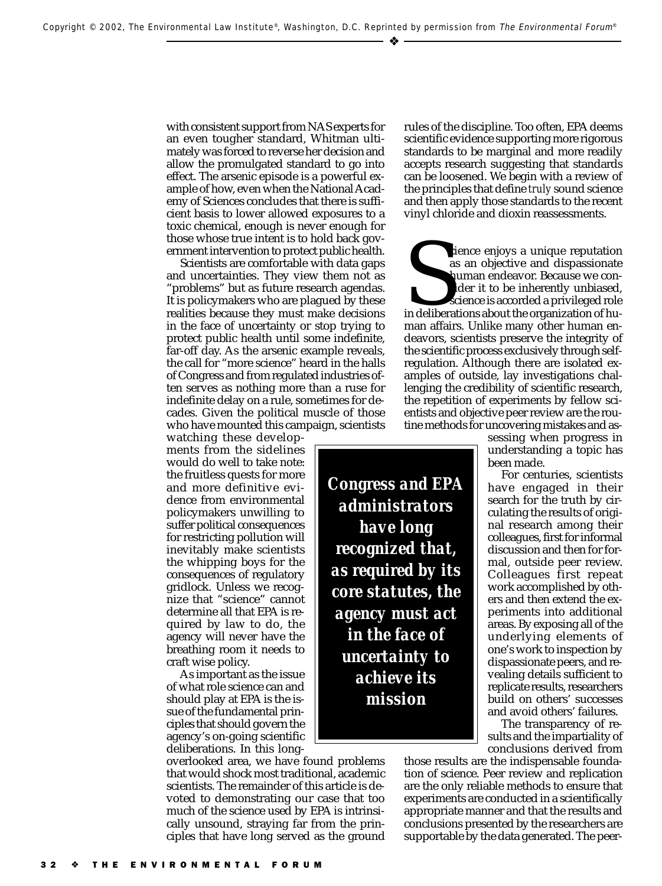with consistent support from NAS experts for an even tougher standard, Whitman ultimately was forced to reverse her decision and allow the promulgated standard to go into effect. The arsenic episode is a powerful example of how, even when the National Academy of Sciences concludes that there is sufficient basis to lower allowed exposures to a toxic chemical, enough is never enough for those whose true intent is to hold back government intervention to protect public health.

Scientists are comfortable with data gaps and uncertainties. They view them not as "problems" but as future research agendas. It is policymakers who are plagued by these realities because they must make decisions in the face of uncertainty or stop trying to protect public health until some indefinite, far-off day. As the arsenic example reveals, the call for "more science" heard in the halls of Congress and from regulated industries often serves as nothing more than a ruse for indefinite delay on a rule, sometimes for decades. Given the political muscle of those who have mounted this campaign, scientists

watching these developments from the sidelines would do well to take note: the fruitless quests for more and more definitive evidence from environmental policymakers unwilling to suffer political consequences for restricting pollution will inevitably make scientists the whipping boys for the consequences of regulatory gridlock. Unless we recognize that "science" cannot determine all that EPA is required by law to do, the agency will never have the breathing room it needs to craft wise policy.

As important as the issue of what role science can and should play at EPA is the issue of the fundamental principles that should govern the agency's on-going scientific deliberations. In this long-

overlooked area, we have found problems that would shock most traditional, academic scientists. The remainder of this article is devoted to demonstrating our case that too much of the science used by EPA is intrinsically unsound, straying far from the principles that have long served as the ground rules of the discipline. Too often, EPA deems scientific evidence supporting more rigorous standards to be marginal and more readily accepts research suggesting that standards can be loosened. We begin with a review of the principles that define *truly* sound science and then apply those standards to the recent vinyl chloride and dioxin reassessments.

cience enjoys a unique reputation<br>as an objective and dispassionate<br>human endeavor. Because we consider it to be inherently unbiased,<br>science is accorded a privileged role<br>in deliberations about the organization of human<br>a cience enjoys a unique reputation as an objective and dispassionate human endeavor. Because we consider it to be inherently unbiased, science is accorded a privileged role man affairs. Unlike many other human endeavors, scientists preserve the integrity of the scientific process exclusively through selfregulation. Although there are isolated examples of outside, lay investigations challenging the credibility of scientific research, the repetition of experiments by fellow scientists and objective peer review are the routine methods for uncovering mistakes and as-

> sessing when progress in understanding a topic has been made.

> For centuries, scientists have engaged in their search for the truth by circulating the results of original research among their colleagues, first for informal discussion and then for formal, outside peer review. Colleagues first repeat work accomplished by others and then extend the experiments into additional areas. By exposing all of the underlying elements of one's work to inspection by dispassionate peers, and revealing details sufficient to replicate results, researchers build on others' successes and avoid others' failures.

The transparency of results and the impartiality of conclusions derived from

those results are the indispensable foundation of science. Peer review and replication are the only reliable methods to ensure that experiments are conducted in a scientifically appropriate manner and that the results and conclusions presented by the researchers are supportable by the data generated. The peer-

*Congress and EPA administrators have long recognized that, as required by its core statutes, the agency must act in the face of uncertainty to achieve its mission*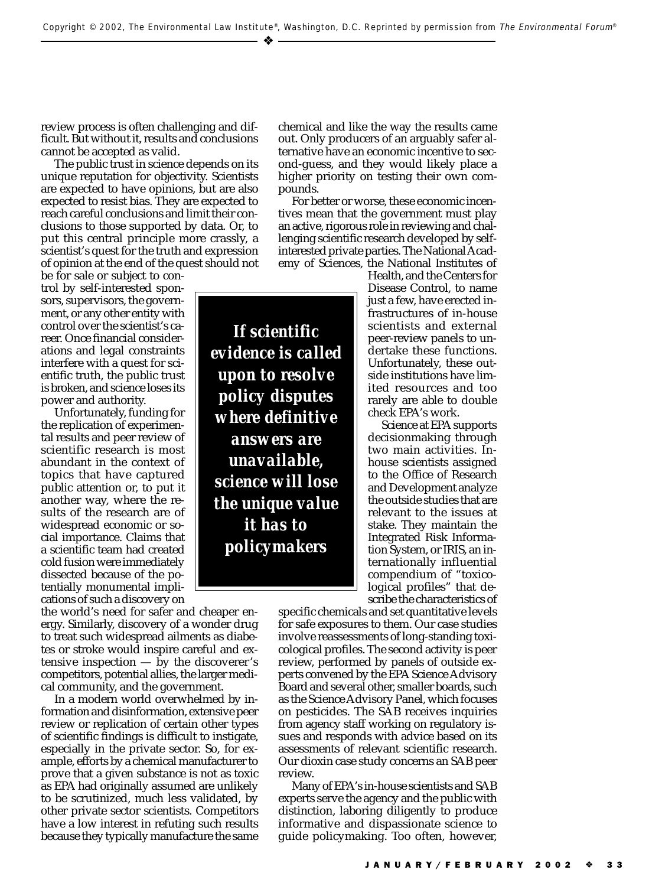– ❖

review process is often challenging and difficult. But without it, results and conclusions cannot be accepted as valid.

The public trust in science depends on its unique reputation for objectivity. Scientists are expected to have opinions, but are also expected to resist bias. They are expected to reach careful conclusions and limit their conclusions to those supported by data. Or, to put this central principle more crassly, a scientist's quest for the truth and expression of opinion at the end of the quest should not

be for sale or subject to control by self-interested sponsors, supervisors, the government, or any other entity with control over the scientist's career. Once financial considerations and legal constraints interfere with a quest for scientific truth, the public trust is broken, and science loses its power and authority.

Unfortunately, funding for the replication of experimental results and peer review of scientific research is most abundant in the context of topics that have captured public attention or, to put it another way, where the results of the research are of widespread economic or social importance. Claims that a scientific team had created cold fusion were immediately dissected because of the potentially monumental implications of such a discovery on

the world's need for safer and cheaper energy. Similarly, discovery of a wonder drug to treat such widespread ailments as diabetes or stroke would inspire careful and extensive inspection  $-$  by the discoverer's competitors, potential allies, the larger medical community, and the government.

In a modern world overwhelmed by information and disinformation, extensive peer review or replication of certain other types of scientific findings is difficult to instigate, especially in the private sector. So, for example, efforts by a chemical manufacturer to prove that a given substance is not as toxic as EPA had originally assumed are unlikely to be scrutinized, much less validated, by other private sector scientists. Competitors have a low interest in refuting such results because they typically manufacture the same chemical and like the way the results came out. Only producers of an arguably safer alternative have an economic incentive to second-guess, and they would likely place a higher priority on testing their own compounds.

For better or worse, these economic incentives mean that the government must play an active, rigorous role in reviewing and challenging scientific research developed by selfinterested private parties. The National Academy of Sciences, the National Institutes of

*If scientific evidence is called upon to resolve policy disputes where definitive answers are unavailable, science will lose the unique value it has to policymakers*

Health, and the Centers for Disease Control, to name just a few, have erected infrastructures of in-house scientists and external peer-review panels to undertake these functions. Unfortunately, these outside institutions have limited resources and too rarely are able to double check EPA's work.

Science at EPA supports decisionmaking through two main activities. Inhouse scientists assigned to the Office of Research and Development analyze the outside studies that are relevant to the issues at stake. They maintain the Integrated Risk Information System, or IRIS, an internationally influential compendium of "toxicological profiles" that describe the characteristics of

specific chemicals and set quantitative levels for safe exposures to them. Our case studies involve reassessments of long-standing toxicological profiles. The second activity is peer review, performed by panels of outside experts convened by the EPA Science Advisory Board and several other, smaller boards, such as the Science Advisory Panel, which focuses on pesticides. The SAB receives inquiries from agency staff working on regulatory issues and responds with advice based on its assessments of relevant scientific research. Our dioxin case study concerns an SAB peer review.

Many of EPA's in-house scientists and SAB experts serve the agency and the public with distinction, laboring diligently to produce informative and dispassionate science to guide policymaking. Too often, however,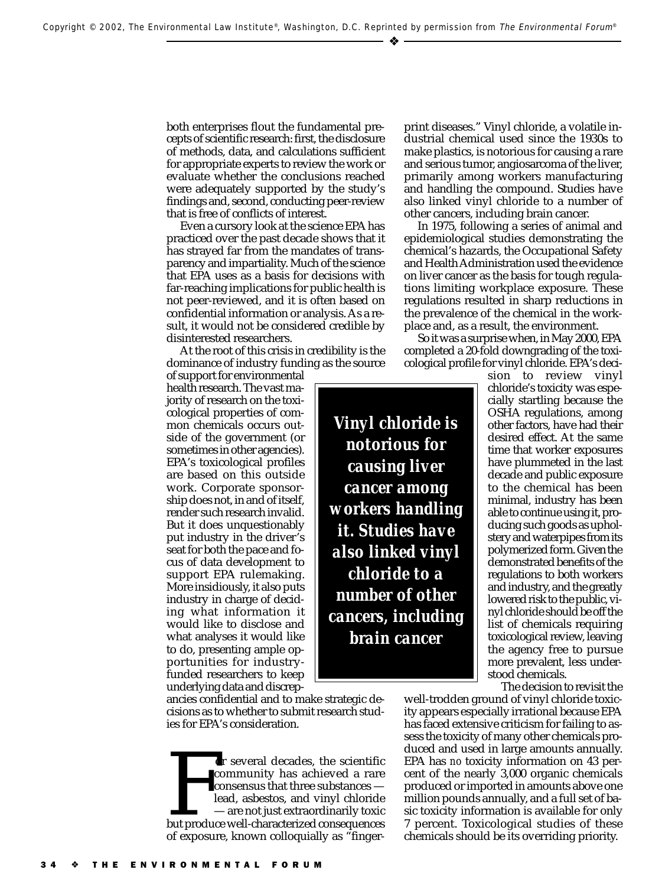both enterprises flout the fundamental precepts of scientific research: first, the disclosure of methods, data, and calculations sufficient for appropriate experts to review the work or evaluate whether the conclusions reached were adequately supported by the study's findings and, second, conducting peer-review that is free of conflicts of interest.

Even a cursory look at the science EPA has practiced over the past decade shows that it has strayed far from the mandates of transparency and impartiality. Much of the science that EPA uses as a basis for decisions with far-reaching implications for public health is not peer-reviewed, and it is often based on confidential information or analysis. As a result, it would not be considered credible by disinterested researchers.

At the root of this crisis in credibility is the dominance of industry funding as the source

of support for environmental health research. The vast majority of research on the toxicological properties of common chemicals occurs outside of the government (or sometimes in other agencies). EPA's toxicological profiles are based on this outside work. Corporate sponsorship does not, in and of itself, render such research invalid. But it does unquestionably put industry in the driver's seat for both the pace and focus of data development to support EPA rulemaking. More insidiously, it also puts industry in charge of deciding what information it would like to disclose and what analyses it would like to do, presenting ample opportunities for industryfunded researchers to keep underlying data and discrep-

ancies confidential and to make strategic decisions as to whether to submit research studies for EPA's consideration.

For several decades, the scientific<br>
community has achieved a rare<br>
consensus that three substances —<br>
lead, asbestos, and vinyl chloride<br>
— are not just extraordinarily toxic<br>
but produce well-characterized consequences<br> or several decades, the scientific community has achieved a rare consensus that three substances lead, asbestos, and vinyl chloride — are not just extraordinarily toxic of exposure, known colloquially as "fingerprint diseases." Vinyl chloride, a volatile industrial chemical used since the 1930s to make plastics, is notorious for causing a rare and serious tumor, angiosarcoma of the liver, primarily among workers manufacturing and handling the compound. Studies have also linked vinyl chloride to a number of other cancers, including brain cancer.

In 1975, following a series of animal and epidemiological studies demonstrating the chemical's hazards, the Occupational Safety and Health Administration used the evidence on liver cancer as the basis for tough regulations limiting workplace exposure. These regulations resulted in sharp reductions in the prevalence of the chemical in the workplace and, as a result, the environment.

So it was a surprise when, in May 2000, EPA completed a 20-fold downgrading of the toxicological profile for vinyl chloride. EPA's deci-

*Vinyl chloride is notorious for causing liver cancer among workers handling it. Studies have also linked vinyl chloride to a number of other cancers, including brain cancer*

sion to review vinyl chloride's toxicity was especially startling because the OSHA regulations, among other factors, have had their desired effect. At the same time that worker exposures have plummeted in the last decade and public exposure to the chemical has been minimal, industry has been able to continue using it, producing such goods as upholstery and waterpipes from its polymerized form. Given the demonstrated benefits of the regulations to both workers and industry, and the greatly lowered risk to the public, vinyl chloride should be off the list of chemicals requiring toxicological review, leaving the agency free to pursue more prevalent, less understood chemicals.

The decision to revisit the

well-trodden ground of vinyl chloride toxicity appears especially irrational because EPA has faced extensive criticism for failing to assess the toxicity of many other chemicals produced and used in large amounts annually. EPA has *no* toxicity information on 43 percent of the nearly 3,000 organic chemicals produced or imported in amounts above one million pounds annually, and a full set of basic toxicity information is available for only 7 percent. Toxicological studies of these chemicals should be its overriding priority.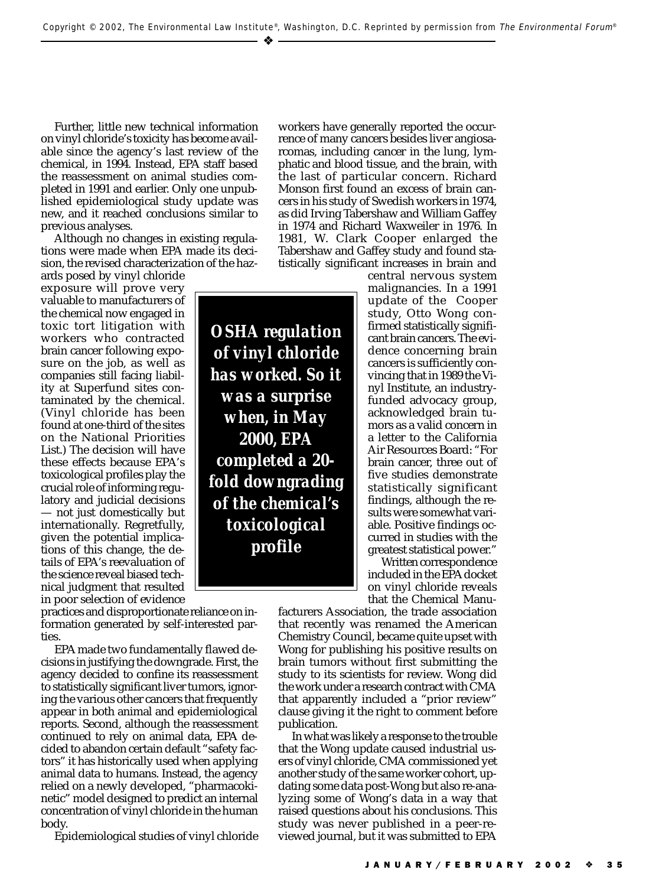Further, little new technical information on vinyl chloride's toxicity has become available since the agency's last review of the chemical, in 1994. Instead, EPA staff based the reassessment on animal studies completed in 1991 and earlier. Only one unpublished epidemiological study update was new, and it reached conclusions similar to previous analyses.

Although no changes in existing regulations were made when EPA made its decision, the revised characterization of the haz-

ards posed by vinyl chloride exposure will prove very valuable to manufacturers of the chemical now engaged in toxic tort litigation with workers who contracted brain cancer following exposure on the job, as well as companies still facing liability at Superfund sites contaminated by the chemical. (Vinyl chloride has been found at one-third of the sites on the National Priorities List.) The decision will have these effects because EPA's toxicological profiles play the crucial role of informing regulatory and judicial decisions — not just domestically but internationally. Regretfully, given the potential implications of this change, the details of EPA's reevaluation of the science reveal biased technical judgment that resulted in poor selection of evidence

*OSHA regulation of vinyl chloride has worked. So it was a surprise when, in May 2000, EPA completed a 20 fold downgrading of the chemical's toxicological profile*

workers have generally reported the occurrence of many cancers besides liver angiosarcomas, including cancer in the lung, lymphatic and blood tissue, and the brain, with the last of particular concern. Richard Monson first found an excess of brain cancers in his study of Swedish workers in 1974, as did Irving Tabershaw and William Gaffey in 1974 and Richard Waxweiler in 1976. In 1981, W. Clark Cooper enlarged the Tabershaw and Gaffey study and found statistically significant increases in brain and

> central nervous system malignancies. In a 1991 update of the Cooper study, Otto Wong confirmed statistically significant brain cancers. The evidence concerning brain cancers is sufficiently convincing that in 1989 the Vinyl Institute, an industryfunded advocacy group, acknowledged brain tumors as a valid concern in a letter to the California Air Resources Board: "For brain cancer, three out of five studies demonstrate statistically significant findings, although the results were somewhat variable. Positive findings occurred in studies with the greatest statistical power."

> Written correspondence included in the EPA docket on vinyl chloride reveals that the Chemical Manu-

practices and disproportionate reliance on information generated by self-interested parties.

EPA made two fundamentally flawed decisions in justifying the downgrade. First, the agency decided to confine its reassessment to statistically significant liver tumors, ignoring the various other cancers that frequently appear in both animal and epidemiological reports. Second, although the reassessment continued to rely on animal data, EPA decided to abandon certain default "safety factors" it has historically used when applying animal data to humans. Instead, the agency relied on a newly developed, "pharmacokinetic" model designed to predict an internal concentration of vinyl chloride in the human body.

Epidemiological studies of vinyl chloride

facturers Association, the trade association that recently was renamed the American Chemistry Council, became quite upset with Wong for publishing his positive results on brain tumors without first submitting the study to its scientists for review. Wong did the work under a research contract with CMA that apparently included a "prior review" clause giving it the right to comment before publication.

In what was likely a response to the trouble that the Wong update caused industrial users of vinyl chloride, CMA commissioned yet another study of the same worker cohort, updating some data post-Wong but also re-analyzing some of Wong's data in a way that raised questions about his conclusions. This study was never published in a peer-reviewed journal, but it was submitted to EPA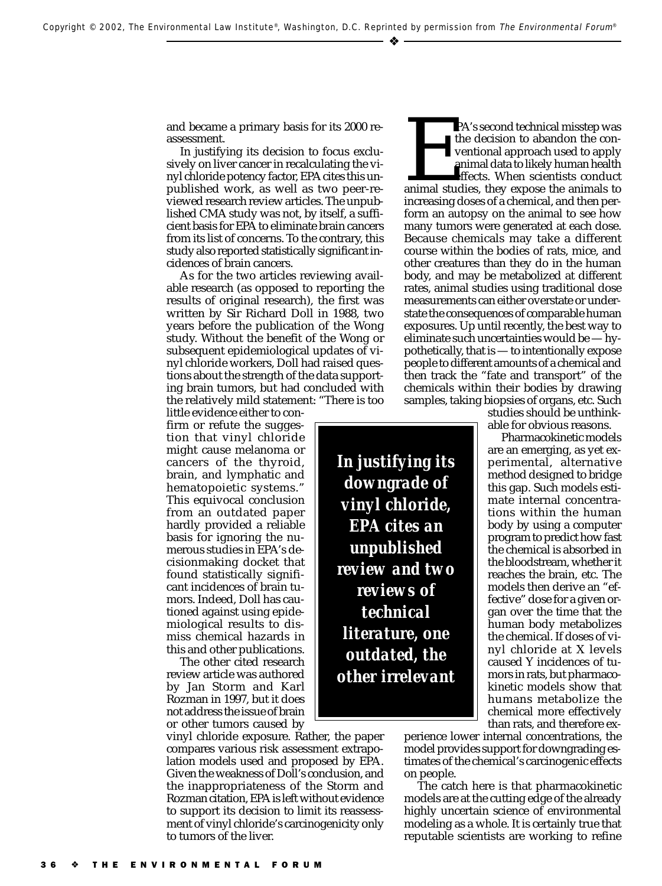and became a primary basis for its 2000 reassessment.

In justifying its decision to focus exclusively on liver cancer in recalculating the vinyl chloride potency factor, EPA cites this unpublished work, as well as two peer-reviewed research review articles. The unpublished CMA study was not, by itself, a sufficient basis for EPA to eliminate brain cancers from its list of concerns. To the contrary, this study also reported statistically significant incidences of brain cancers.

As for the two articles reviewing available research (as opposed to reporting the results of original research), the first was written by Sir Richard Doll in 1988, two years before the publication of the Wong study. Without the benefit of the Wong or subsequent epidemiological updates of vinyl chloride workers, Doll had raised questions about the strength of the data supporting brain tumors, but had concluded with the relatively mild statement: "There is too

little evidence either to confirm or refute the suggestion that vinyl chloride might cause melanoma or cancers of the thyroid, brain, and lymphatic and hematopoietic systems." This equivocal conclusion from an outdated paper hardly provided a reliable basis for ignoring the numerous studies in EPA's decisionmaking docket that found statistically significant incidences of brain tumors. Indeed, Doll has cautioned against using epidemiological results to dismiss chemical hazards in this and other publications.

The other cited research review article was authored by Jan Storm and Karl Rozman in 1997, but it does not address the issue of brain or other tumors caused by

vinyl chloride exposure. Rather, the paper compares various risk assessment extrapolation models used and proposed by EPA. Given the weakness of Doll's conclusion, and the inappropriateness of the Storm and Rozman citation, EPA is left without evidence to support its decision to limit its reassessment of vinyl chloride's carcinogenicity only to tumors of the liver.

PA's second technical misstep was<br>the decision to abandon the conventional approach used to apply<br>animal data to likely human health<br>effects. When scientists conduct<br>animal studies, they expose the animals to<br>increasing do the decision to abandon the conventional approach used to apply animal data to likely human health effects. When scientists conduct animal studies, they expose the animals to increasing doses of a chemical, and then perform an autopsy on the animal to see how many tumors were generated at each dose. Because chemicals may take a different course within the bodies of rats, mice, and other creatures than they do in the human body, and may be metabolized at different rates, animal studies using traditional dose measurements can either overstate or understate the consequences of comparable human exposures. Up until recently, the best way to eliminate such uncertainties would be — hypothetically, that is — to intentionally expose people to different amounts of a chemical and then track the "fate and transport" of the chemicals within their bodies by drawing samples, taking biopsies of organs, etc. Such

studies should be unthinkable for obvious reasons.

Pharmacokinetic models are an emerging, as yet experimental, alternative method designed to bridge this gap. Such models estimate internal concentrations within the human body by using a computer program to predict how fast the chemical is absorbed in the bloodstream, whether it reaches the brain, etc. The models then derive an "effective" dose for a given organ over the time that the human body metabolizes the chemical. If doses of vinyl chloride at X levels caused Y incidences of tumors in rats, but pharmacokinetic models show that humans metabolize the chemical more effectively than rats, and therefore ex-

perience lower internal concentrations, the model provides support for downgrading estimates of the chemical's carcinogenic effects on people.

The catch here is that pharmacokinetic models are at the cutting edge of the already highly uncertain science of environmental modeling as a whole. It is certainly true that reputable scientists are working to refine

*EPA cites an unpublished review and two reviews of technical literature, one outdated, the other irrelevant*

*In justifying its downgrade of vinyl chloride,*

### 3 6 ❖ THE ENVIRONMENTAL FORUM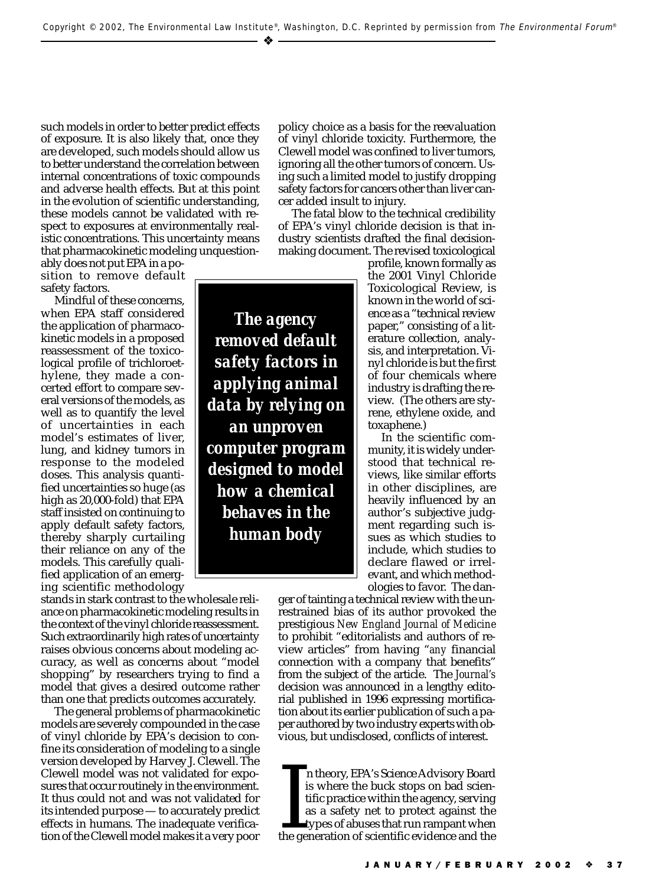*The agency removed default*

*safety factors in applying animal data by relying on*

*an unproven computer program designed to model how a chemical behaves in the human body*

such models in order to better predict effects of exposure. It is also likely that, once they are developed, such models should allow us to better understand the correlation between internal concentrations of toxic compounds and adverse health effects. But at this point in the evolution of scientific understanding, these models cannot be validated with respect to exposures at environmentally realistic concentrations. This uncertainty means that pharmacokinetic modeling unquestion-

ably does not put EPA in a position to remove default safety factors.

Mindful of these concerns, when EPA staff considered the application of pharmacokinetic models in a proposed reassessment of the toxicological profile of trichloroethylene, they made a concerted effort to compare several versions of the models, as well as to quantify the level of uncertainties in each model's estimates of liver, lung, and kidney tumors in response to the modeled doses. This analysis quantified uncertainties so huge (as high as 20,000-fold) that EPA staff insisted on continuing to apply default safety factors, thereby sharply curtailing their reliance on any of the models. This carefully qualified application of an emerging scientific methodology

stands in stark contrast to the wholesale reliance on pharmacokinetic modeling results in the context of the vinyl chloride reassessment. Such extraordinarily high rates of uncertainty raises obvious concerns about modeling accuracy, as well as concerns about "model shopping" by researchers trying to find a model that gives a desired outcome rather than one that predicts outcomes accurately.

The general problems of pharmacokinetic models are severely compounded in the case of vinyl chloride by EPA's decision to confine its consideration of modeling to a single version developed by Harvey J. Clewell. The Clewell model was not validated for exposures that occur routinely in the environment. It thus could not and was not validated for its intended purpose — to accurately predict effects in humans. The inadequate verification of the Clewell model makes it a very poor

of vinyl chloride toxicity. Furthermore, the Clewell model was confined to liver tumors, ignoring all the other tumors of concern. Using such a limited model to justify dropping safety factors for cancers other than liver cancer added insult to injury. The fatal blow to the technical credibility

policy choice as a basis for the reevaluation

of EPA's vinyl chloride decision is that industry scientists drafted the final decisionmaking document. The revised toxicological

> profile, known formally as the 2001 Vinyl Chloride Toxicological Review, is known in the world of science as a "technical review paper," consisting of a literature collection, analysis, and interpretation. Vinyl chloride is but the first of four chemicals where industry is drafting the review. (The others are styrene, ethylene oxide, and toxaphene.)

In the scientific community, it is widely understood that technical reviews, like similar efforts in other disciplines, are heavily influenced by an author's subjective judgment regarding such issues as which studies to include, which studies to declare flawed or irrelevant, and which methodologies to favor. The dan-

ger of tainting a technical review with the unrestrained bias of its author provoked the prestigious *New England Journal of Medicine* to prohibit "editorialists and authors of review articles" from having "*any* financial connection with a company that benefits" from the subject of the article. The *Journal's* decision was announced in a lengthy editorial published in 1996 expressing mortification about its earlier publication of such a paper authored by two industry experts with obvious, but undisclosed, conflicts of interest.

In theory, EPA's Science Advisory Board<br>is where the buck stops on bad scien-<br>tific practice within the agency, serving<br>as a safety net to protect against the<br>types of abuses that run rampant when<br>the generation of scienti n theory, EPA's Science Advisory Board is where the buck stops on bad scientific practice within the agency, serving as a safety net to protect against the types of abuses that run rampant when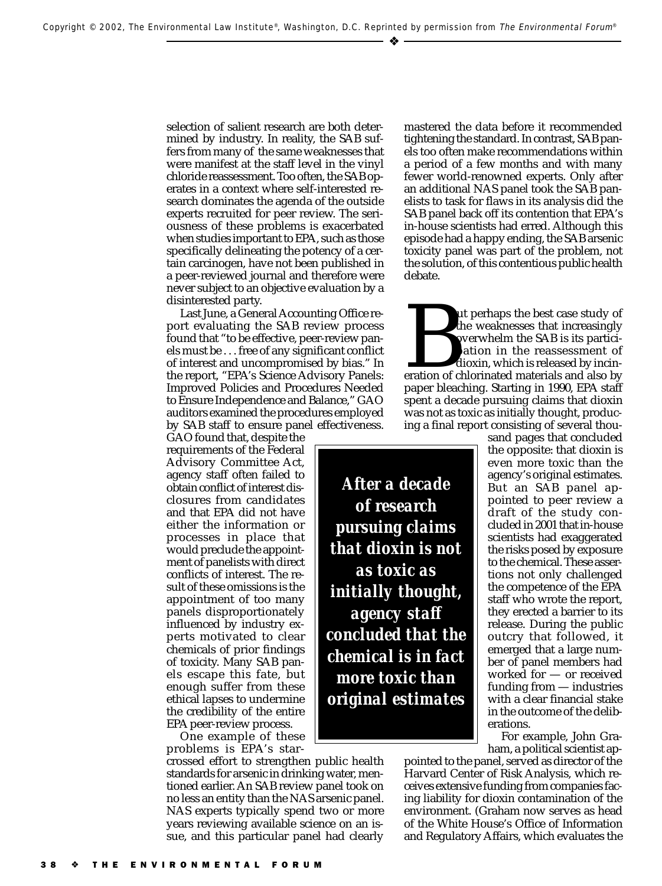selection of salient research are both determined by industry. In reality, the SAB suffers from many of the same weaknesses that were manifest at the staff level in the vinyl chloride reassessment. Too often, the SAB operates in a context where self-interested research dominates the agenda of the outside experts recruited for peer review. The seriousness of these problems is exacerbated when studies important to EPA, such as those specifically delineating the potency of a certain carcinogen, have not been published in a peer-reviewed journal and therefore were never subject to an objective evaluation by a disinterested party.

Last June, a General Accounting Office report evaluating the SAB review process found that "to be effective, peer-review panels must be . . . free of any significant conflict of interest and uncompromised by bias." In the report, "EPA's Science Advisory Panels: Improved Policies and Procedures Needed to Ensure Independence and Balance," GAO auditors examined the procedures employed by SAB staff to ensure panel effectiveness.

GAO found that, despite the requirements of the Federal Advisory Committee Act, agency staff often failed to obtain conflict of interest disclosures from candidates and that EPA did not have either the information or processes in place that would preclude the appointment of panelists with direct conflicts of interest. The result of these omissions is the appointment of too many panels disproportionately influenced by industry experts motivated to clear chemicals of prior findings of toxicity. Many SAB panels escape this fate, but enough suffer from these ethical lapses to undermine the credibility of the entire EPA peer-review process.

One example of these problems is EPA's star-

crossed effort to strengthen public health standards for arsenic in drinking water, mentioned earlier. An SAB review panel took on no less an entity than the NAS arsenic panel. NAS experts typically spend two or more years reviewing available science on an issue, and this particular panel had clearly mastered the data before it recommended tightening the standard. In contrast, SAB panels too often make recommendations within a period of a few months and with many fewer world-renowned experts. Only after an additional NAS panel took the SAB panelists to task for flaws in its analysis did the SAB panel back off its contention that EPA's in-house scientists had erred. Although this episode had a happy ending, the SAB arsenic toxicity panel was part of the problem, not the solution, of this contentious public health debate.

also the weaknesses that increasingly<br>overwhelm the SAB is its partici-<br>pation in the reassessment of<br>dioxin, which is released by incin-<br>eration of chlorinated materials and also by<br>paper bleaching Starting in 1990 FPA st the weaknesses that increasingly overwhelm the SAB is its participation in the reassessment of dioxin, which is released by incinpaper bleaching. Starting in 1990, EPA staff spent a decade pursuing claims that dioxin was not as toxic as initially thought, producing a final report consisting of several thou-

*After a decade of research pursuing claims that dioxin is not as toxic as initially thought, agency staff concluded that the chemical is in fact more toxic than original estimates*

sand pages that concluded the opposite: that dioxin is even more toxic than the agency's original estimates. But an SAB panel appointed to peer review a draft of the study concluded in 2001 that in-house scientists had exaggerated the risks posed by exposure to the chemical. These assertions not only challenged the competence of the EPA staff who wrote the report, they erected a barrier to its release. During the public outcry that followed, it emerged that a large number of panel members had worked for — or received funding from — industries with a clear financial stake in the outcome of the deliberations.

For example, John Graham, a political scientist ap-

pointed to the panel, served as director of the Harvard Center of Risk Analysis, which receives extensive funding from companies facing liability for dioxin contamination of the environment. (Graham now serves as head of the White House's Office of Information and Regulatory Affairs, which evaluates the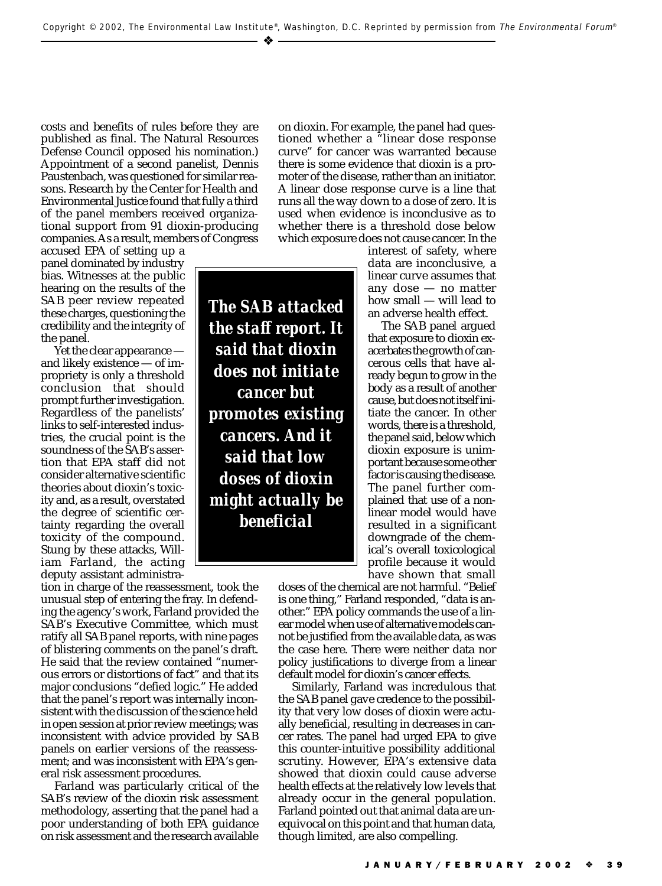– ❖

costs and benefits of rules before they are published as final. The Natural Resources Defense Council opposed his nomination.) Appointment of a second panelist, Dennis Paustenbach, was questioned for similar reasons. Research by the Center for Health and Environmental Justice found that fully a third of the panel members received organizational support from 91 dioxin-producing companies. As a result, members of Congress

accused EPA of setting up a panel dominated by industry bias. Witnesses at the public hearing on the results of the SAB peer review repeated these charges, questioning the credibility and the integrity of the panel.

Yet the clear appearance and likely existence — of impropriety is only a threshold conclusion that should prompt further investigation. Regardless of the panelists' links to self-interested industries, the crucial point is the soundness of the SAB's assertion that EPA staff did not consider alternative scientific theories about dioxin's toxicity and, as a result, overstated the degree of scientific certainty regarding the overall toxicity of the compound. Stung by these attacks, William Farland, the acting deputy assistant administra-

tion in charge of the reassessment, took the unusual step of entering the fray. In defending the agency's work, Farland provided the SAB's Executive Committee, which must ratify all SAB panel reports, with nine pages of blistering comments on the panel's draft. He said that the review contained "numerous errors or distortions of fact" and that its major conclusions "defied logic." He added that the panel's report was internally inconsistent with the discussion of the science held in open session at prior review meetings; was inconsistent with advice provided by SAB panels on earlier versions of the reassessment; and was inconsistent with EPA's general risk assessment procedures.

Farland was particularly critical of the SAB's review of the dioxin risk assessment methodology, asserting that the panel had a poor understanding of both EPA guidance on risk assessment and the research available

*The SAB attacked the staff report. It said that dioxin does not initiate cancer but promotes existing cancers. And it said that low doses of dioxin might actually be beneficial*

on dioxin. For example, the panel had questioned whether a "linear dose response curve" for cancer was warranted because there is some evidence that dioxin is a promoter of the disease, rather than an initiator. A linear dose response curve is a line that runs all the way down to a dose of zero. It is used when evidence is inconclusive as to whether there is a threshold dose below which exposure does not cause cancer. In the

> interest of safety, where data are inconclusive, a linear curve assumes that any dose — no matter how small — will lead to an adverse health effect.

> The SAB panel argued that exposure to dioxin exacerbates the growth of cancerous cells that have already begun to grow in the body as a result of another cause, but does not itself initiate the cancer. In other words, there is a threshold, the panel said, below which dioxin exposure is unimportant because some other factor is causing the disease. The panel further complained that use of a nonlinear model would have resulted in a significant downgrade of the chemical's overall toxicological profile because it would have shown that small

doses of the chemical are not harmful. "Belief is one thing," Farland responded, "data is another." EPA policy commands the use of a linear model when use of alternative models cannot be justified from the available data, as was the case here. There were neither data nor policy justifications to diverge from a linear default model for dioxin's cancer effects.

Similarly, Farland was incredulous that the SAB panel gave credence to the possibility that very low doses of dioxin were actually beneficial, resulting in decreases in cancer rates. The panel had urged EPA to give this counter-intuitive possibility additional scrutiny. However, EPA's extensive data showed that dioxin could cause adverse health effects at the relatively low levels that already occur in the general population. Farland pointed out that animal data are unequivocal on this point and that human data, though limited, are also compelling.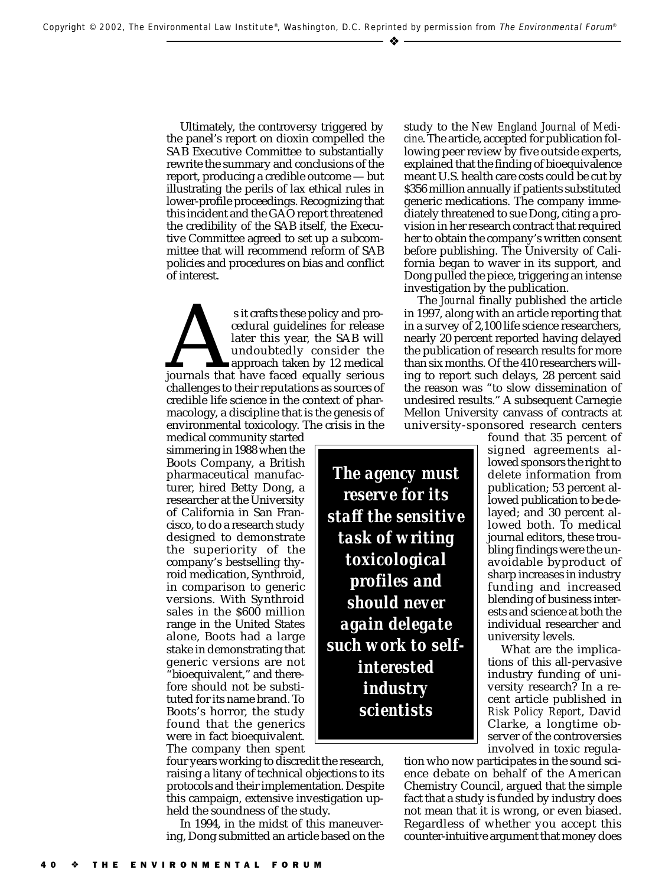Ultimately, the controversy triggered by the panel's report on dioxin compelled the SAB Executive Committee to substantially rewrite the summary and conclusions of the report, producing a credible outcome — but illustrating the perils of lax ethical rules in lower-profile proceedings. Recognizing that this incident and the GAO report threatened the credibility of the SAB itself, the Executive Committee agreed to set up a subcommittee that will recommend reform of SAB policies and procedures on bias and conflict of interest.

s it crafts these policy and pro-<br>
cedural guidelines for release<br>
later this year, the SAB will<br>
undoubtedly consider the<br>
approach taken by 12 medical<br>
journals that have faced equally serious<br>
challenges to their reputa cedural guidelines for release later this year, the SAB will undoubtedly consider the approach taken by 12 medical challenges to their reputations as sources of credible life science in the context of pharmacology, a discipline that is the genesis of environmental toxicology. The crisis in the

medical community started simmering in 1988 when the Boots Company, a British pharmaceutical manufacturer, hired Betty Dong, a researcher at the University of California in San Francisco, to do a research study designed to demonstrate the superiority of the company's bestselling thyroid medication, Synthroid, in comparison to generic versions. With Synthroid sales in the \$600 million range in the United States alone, Boots had a large stake in demonstrating that generic versions are not "bioequivalent," and therefore should not be substituted for its name brand. To Boots's horror, the study found that the generics were in fact bioequivalent. The company then spent

four years working to discredit the research, raising a litany of technical objections to its protocols and their implementation. Despite this campaign, extensive investigation upheld the soundness of the study.

In 1994, in the midst of this maneuvering, Dong submitted an article based on the study to the *New England Journal of Medicine*. The article, accepted for publication following peer review by five outside experts, explained that the finding of bioequivalence meant U.S. health care costs could be cut by \$356 million annually if patients substituted generic medications. The company immediately threatened to sue Dong, citing a provision in her research contract that required her to obtain the company's written consent before publishing. The University of California began to waver in its support, and Dong pulled the piece, triggering an intense investigation by the publication.

The *Journal* finally published the article in 1997, along with an article reporting that in a survey of 2,100 life science researchers, nearly 20 percent reported having delayed the publication of research results for more than six months. Of the 410 researchers willing to report such delays, 28 percent said the reason was "to slow dissemination of undesired results." A subsequent Carnegie Mellon University canvass of contracts at university-sponsored research centers

found that 35 percent of signed agreements allowed sponsors the right to delete information from publication; 53 percent allowed publication to be delayed; and 30 percent allowed both. To medical journal editors, these troubling findings were the unavoidable byproduct of sharp increases in industry funding and increased blending of business interests and science at both the individual researcher and university levels.

What are the implications of this all-pervasive industry funding of university research? In a recent article published in *Risk Policy Report*, David Clarke, a longtime observer of the controversies involved in toxic regula-

tion who now participates in the sound science debate on behalf of the American Chemistry Council, argued that the simple fact that a study is funded by industry does not mean that it is wrong, or even biased. Regardless of whether you accept this counter-intuitive argument that money does

THE ENVIRONMENTAL FORUM

*The agency must reserve for its staff the sensitive task of writing toxicological profiles and should never again delegate such work to selfinterested industry scientists*

### ❖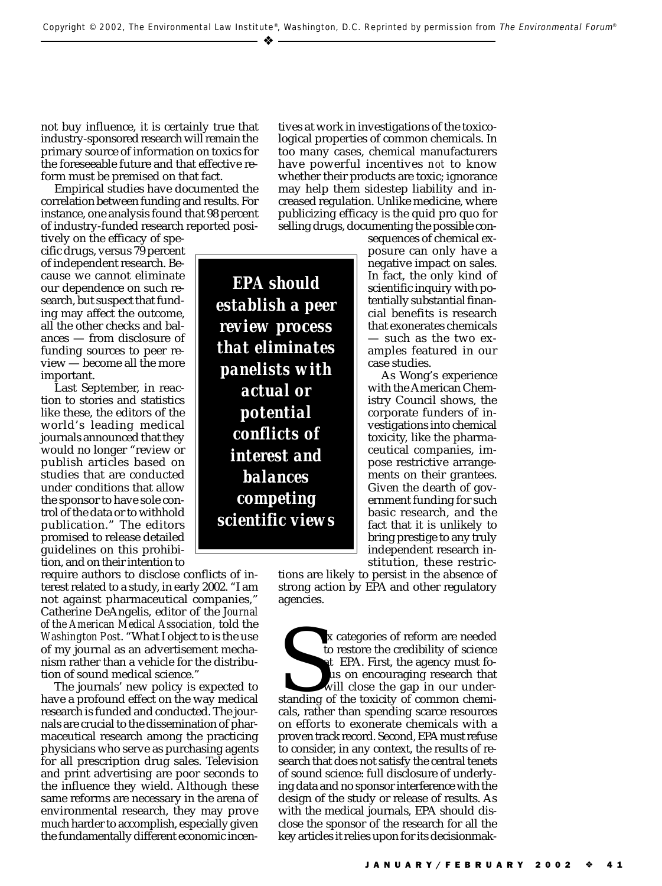not buy influence, it is certainly true that industry-sponsored research will remain the primary source of information on toxics for the foreseeable future and that effective re-

form must be premised on that fact. Empirical studies have documented the correlation between funding and results. For instance, one analysis found that 98 percent of industry-funded research reported posi-

tively on the efficacy of specific drugs, versus 79 percent of independent research. Because we cannot eliminate our dependence on such research, but suspect that funding may affect the outcome, all the other checks and balances — from disclosure of funding sources to peer review — become all the more important.

Last September, in reaction to stories and statistics like these, the editors of the world's leading medical journals announced that they would no longer "review or publish articles based on studies that are conducted under conditions that allow the sponsor to have sole control of the data or to withhold publication." The editors promised to release detailed guidelines on this prohibition, and on their intention to

require authors to disclose conflicts of interest related to a study, in early 2002. "I am not against pharmaceutical companies," Catherine DeAngelis, editor of the *Journal of the American Medical Association,* told the *Washington Post*. "What I object to is the use of my journal as an advertisement mechanism rather than a vehicle for the distribution of sound medical science.'

The journals' new policy is expected to have a profound effect on the way medical research is funded and conducted. The journals are crucial to the dissemination of pharmaceutical research among the practicing physicians who serve as purchasing agents for all prescription drug sales. Television and print advertising are poor seconds to the influence they wield. Although these same reforms are necessary in the arena of environmental research, they may prove much harder to accomplish, especially given the fundamentally different economic incen-

*EPA should establish a peer review process that eliminates panelists with actual or potential conflicts of interest and balances competing scientific views*

tives at work in investigations of the toxicological properties of common chemicals. In too many cases, chemical manufacturers have powerful incentives *not* to know whether their products are toxic; ignorance may help them sidestep liability and increased regulation. Unlike medicine, where publicizing efficacy is the quid pro quo for selling drugs, documenting the possible con-

> sequences of chemical exposure can only have a negative impact on sales. In fact, the only kind of scientific inquiry with potentially substantial financial benefits is research that exonerates chemicals — such as the two examples featured in our case studies.

> As Wong's experience with the American Chemistry Council shows, the corporate funders of investigations into chemical toxicity, like the pharmaceutical companies, impose restrictive arrangements on their grantees. Given the dearth of government funding for such basic research, and the fact that it is unlikely to bring prestige to any truly independent research institution, these restric-

tions are likely to persist in the absence of strong action by EPA and other regulatory agencies.

In the credibility of science<br>to restore the credibility of science<br>at EPA. First, the agency must fo-<br>cus on encouraging research that<br>will close the gap in our under-<br>standing of the toxicity of common chemi-<br>cals rather ix categories of reform are needed to restore the credibility of science at EPA. First, the agency must focus on encouraging research that will close the gap in our undercals, rather than spending scarce resources on efforts to exonerate chemicals with a proven track record. Second, EPA must refuse to consider, in any context, the results of research that does not satisfy the central tenets of sound science: full disclosure of underlying data and no sponsor interference with the design of the study or release of results. As with the medical journals, EPA should disclose the sponsor of the research for all the key articles it relies upon for its decisionmak-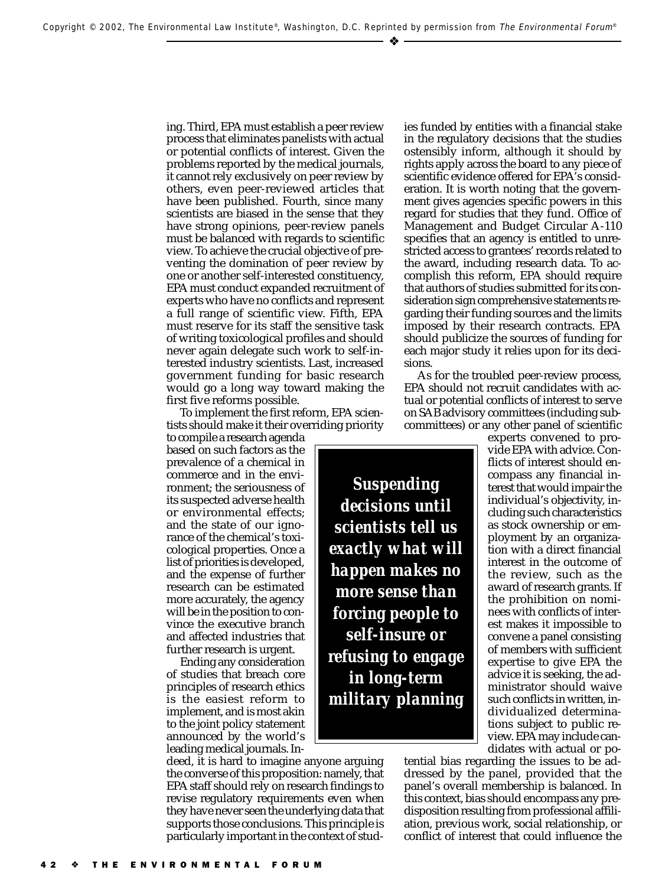ing. Third, EPA must establish a peer review process that eliminates panelists with actual or potential conflicts of interest. Given the problems reported by the medical journals, it cannot rely exclusively on peer review by others, even peer-reviewed articles that have been published. Fourth, since many scientists are biased in the sense that they have strong opinions, peer-review panels must be balanced with regards to scientific view. To achieve the crucial objective of preventing the domination of peer review by one or another self-interested constituency, EPA must conduct expanded recruitment of experts who have no conflicts and represent a full range of scientific view. Fifth, EPA must reserve for its staff the sensitive task of writing toxicological profiles and should never again delegate such work to self-interested industry scientists. Last, increased government funding for basic research would go a long way toward making the first five reforms possible.

To implement the first reform, EPA scientists should make it their overriding priority

to compile a research agenda based on such factors as the prevalence of a chemical in commerce and in the environment; the seriousness of its suspected adverse health or environmental effects; and the state of our ignorance of the chemical's toxicological properties. Once a list of priorities is developed, and the expense of further research can be estimated more accurately, the agency will be in the position to convince the executive branch and affected industries that further research is urgent.

Ending any consideration of studies that breach core principles of research ethics is the easiest reform to implement, and is most akin to the joint policy statement announced by the world's leading medical journals. In-

deed, it is hard to imagine anyone arguing the converse of this proposition: namely, that EPA staff should rely on research findings to revise regulatory requirements even when they have never seen the underlying data that supports those conclusions. This principle is particularly important in the context of studies funded by entities with a financial stake in the regulatory decisions that the studies ostensibly inform, although it should by rights apply across the board to any piece of scientific evidence offered for EPA's consideration. It is worth noting that the government gives agencies specific powers in this regard for studies that they fund. Office of Management and Budget Circular A-110 specifies that an agency is entitled to unrestricted access to grantees' records related to the award, including research data. To accomplish this reform, EPA should require that authors of studies submitted for its consideration sign comprehensive statements regarding their funding sources and the limits imposed by their research contracts. EPA should publicize the sources of funding for each major study it relies upon for its decisions.

As for the troubled peer-review process, EPA should not recruit candidates with actual or potential conflicts of interest to serve on SAB advisory committees (including subcommittees) or any other panel of scientific

*Suspending decisions until scientists tell us exactly what will happen makes no more sense than forcing people to self-insure or refusing to engage in long-term military planning* experts convened to provide EPA with advice. Conflicts of interest should encompass any financial interest that would impair the individual's objectivity, including such characteristics as stock ownership or employment by an organization with a direct financial interest in the outcome of the review, such as the award of research grants. If the prohibition on nominees with conflicts of interest makes it impossible to convene a panel consisting of members with sufficient expertise to give EPA the advice it is seeking, the administrator should waive such conflicts in written, individualized determinations subject to public review. EPA may include candidates with actual or po-

tential bias regarding the issues to be addressed by the panel, provided that the panel's overall membership is balanced. In this context, bias should encompass any predisposition resulting from professional affiliation, previous work, social relationship, or conflict of interest that could influence the